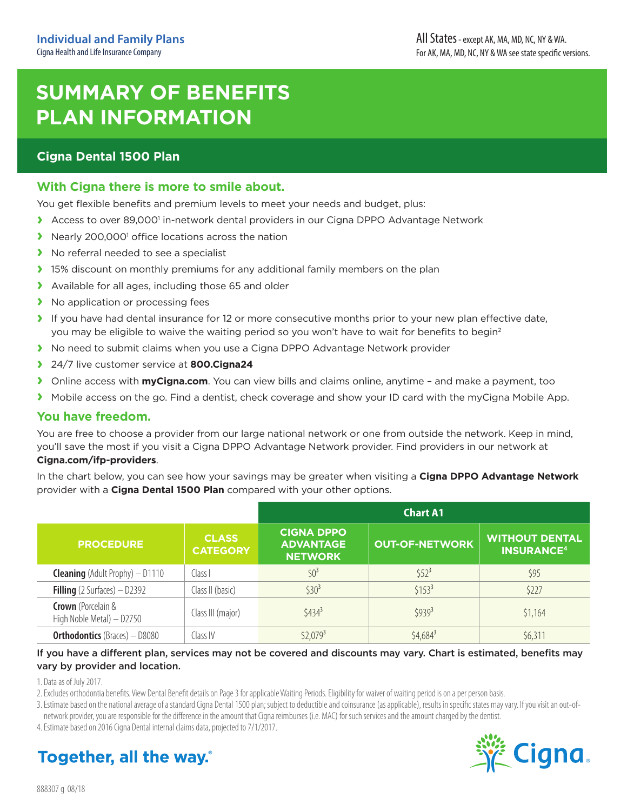# **SUMMARY OF BENEFITS PLAN INFORMATION**

### **Cigna Dental 1500 Plan**

### **With Cigna there is more to smile about.**

You get flexible benefits and premium levels to meet your needs and budget, plus:

- **>** Access to over 89,000<sup>1</sup> in-network dental providers in our Cigna DPPO Advantage Network
- **>** Nearly 200,000<sup>1</sup> office locations across the nation
- **›** No referral needed to see a specialist
- **›** 15% discount on monthly premiums for any additional family members on the plan
- **›** Available for all ages, including those 65 and older
- **›** No application or processing fees
- **›** If you have had dental insurance for 12 or more consecutive months prior to your new plan effective date, you may be eligible to waive the waiting period so you won't have to wait for benefits to begin<sup>2</sup>
- **›** No need to submit claims when you use a Cigna DPPO Advantage Network provider
- **›** 24/7 live customer service at **800.Cigna24**
- **›** Online access with **[myCigna.com](http://myCigna.com)**. You can view bills and claims online, anytime and make a payment, too
- **›** Mobile access on the go. Find a dentist, check coverage and show your ID card with the myCigna Mobile App.

#### **You have freedom.**

You are free to choose a provider from our large national network or one from outside the network. Keep in mind, you'll save the most if you visit a Cigna DPPO Advantage Network provider. Find providers in our network at

#### **[Cigna.com/ifp-providers](http://Cigna.com/ifp-providers)**.

In the chart below, you can see how your savings may be greater when visiting a **Cigna DPPO Advantage Network** provider with a **Cigna Dental 1500 Plan** compared with your other options.

|                                                        |                                 | <b>Chart A1</b>                                         |                       |                                                       |
|--------------------------------------------------------|---------------------------------|---------------------------------------------------------|-----------------------|-------------------------------------------------------|
| <b>PROCEDURE</b>                                       | <b>CLASS</b><br><b>CATEGORY</b> | <b>CIGNA DPPO</b><br><b>ADVANTAGE</b><br><b>NETWORK</b> | <b>OUT-OF-NETWORK</b> | <b>WITHOUT DENTAL</b><br><b>INSURANCE<sup>4</sup></b> |
| <b>Cleaning</b> (Adult Prophy) $-$ D1110               | Class I                         | $$0^3$                                                  | $$52^3$               | \$95                                                  |
| <b>Filling</b> (2 Surfaces) $-$ D2392                  | Class II (basic)                | $$30^3$                                                 | $$153^3$              | \$227                                                 |
| <b>Crown</b> (Porcelain &<br>High Noble Metal) - D2750 | Class III (major)               | $$434^3$                                                | \$9393                | \$1,164                                               |
| <b>Orthodontics</b> (Braces) - D8080                   | Class IV                        | $$2,079^3$                                              | $$4,684^3$            | \$6,311                                               |

#### If you have a different plan, services may not be covered and discounts may vary. Chart is estimated, benefits may vary by provider and location.

1. Data as of July 2017.

2. Excludes orthodontia benefits. View Dental Benefit details on Page 3 for applicable Waiting Periods. Eligibility for waiver of waiting period is on a per person basis.

3. Estimate based on the national average of a standard Cigna Dental 1500 plan; subject to deductible and coinsurance (as applicable), results in specific states may vary. If you visit an out-ofnetwork provider, you are responsible for the difference in the amount that Cigna reimburses (i.e. MAC) for such services and the amount charged by the dentist.

4. Estimate based on 2016 Cigna Dental internal claims data, projected to 7/1/2017.



# **Together, all the way.**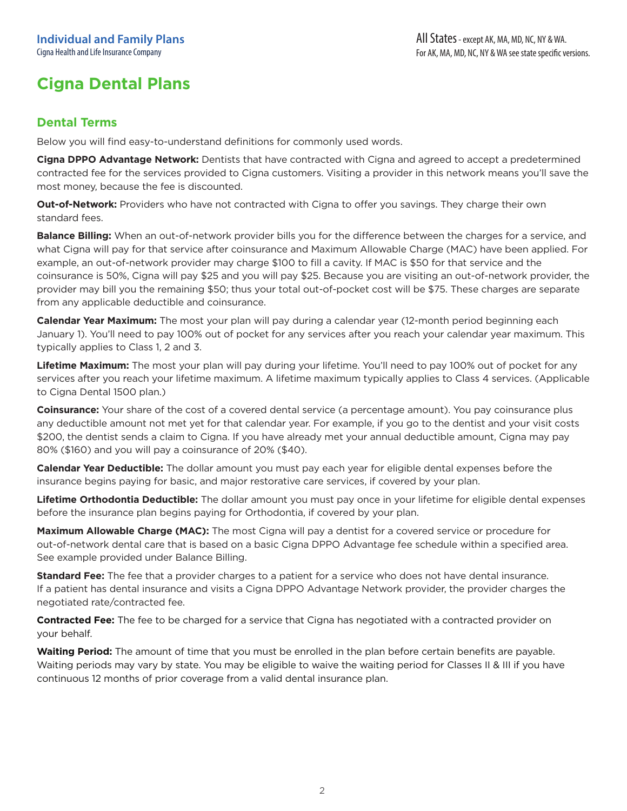### **Dental Terms**

Below you will find easy-to-understand definitions for commonly used words.

**Cigna DPPO Advantage Network:** Dentists that have contracted with Cigna and agreed to accept a predetermined contracted fee for the services provided to Cigna customers. Visiting a provider in this network means you'll save the most money, because the fee is discounted.

**Out-of-Network:** Providers who have not contracted with Cigna to offer you savings. They charge their own standard fees.

**Balance Billing:** When an out-of-network provider bills you for the difference between the charges for a service, and what Cigna will pay for that service after coinsurance and Maximum Allowable Charge (MAC) have been applied. For example, an out-of-network provider may charge \$100 to fill a cavity. If MAC is \$50 for that service and the coinsurance is 50%, Cigna will pay \$25 and you will pay \$25. Because you are visiting an out-of-network provider, the provider may bill you the remaining \$50; thus your total out-of-pocket cost will be \$75. These charges are separate from any applicable deductible and coinsurance.

**Calendar Year Maximum:** The most your plan will pay during a calendar year (12-month period beginning each January 1). You'll need to pay 100% out of pocket for any services after you reach your calendar year maximum. This typically applies to Class 1, 2 and 3.

**Lifetime Maximum:** The most your plan will pay during your lifetime. You'll need to pay 100% out of pocket for any services after you reach your lifetime maximum. A lifetime maximum typically applies to Class 4 services. (Applicable to Cigna Dental 1500 plan.)

**Coinsurance:** Your share of the cost of a covered dental service (a percentage amount). You pay coinsurance plus any deductible amount not met yet for that calendar year. For example, if you go to the dentist and your visit costs \$200, the dentist sends a claim to Cigna. If you have already met your annual deductible amount, Cigna may pay 80% (\$160) and you will pay a coinsurance of 20% (\$40).

**Calendar Year Deductible:** The dollar amount you must pay each year for eligible dental expenses before the insurance begins paying for basic, and major restorative care services, if covered by your plan.

**Lifetime Orthodontia Deductible:** The dollar amount you must pay once in your lifetime for eligible dental expenses before the insurance plan begins paying for Orthodontia, if covered by your plan.

**Maximum Allowable Charge (MAC):** The most Cigna will pay a dentist for a covered service or procedure for out-of-network dental care that is based on a basic Cigna DPPO Advantage fee schedule within a specified area. See example provided under Balance Billing.

**Standard Fee:** The fee that a provider charges to a patient for a service who does not have dental insurance. If a patient has dental insurance and visits a Cigna DPPO Advantage Network provider, the provider charges the negotiated rate/contracted fee.

**Contracted Fee:** The fee to be charged for a service that Cigna has negotiated with a contracted provider on your behalf.

**Waiting Period:** The amount of time that you must be enrolled in the plan before certain benefits are payable. Waiting periods may vary by state. You may be eligible to waive the waiting period for Classes II & III if you have continuous 12 months of prior coverage from a valid dental insurance plan.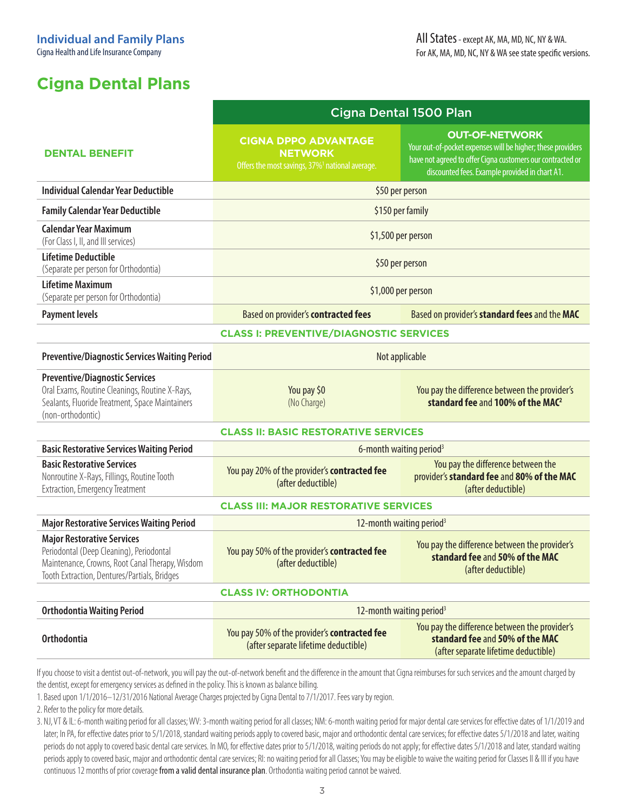|                                                                                                                                                                                  | Cigna Dental 1500 Plan                                                                                       |                                                                                                                                                                                                      |  |  |
|----------------------------------------------------------------------------------------------------------------------------------------------------------------------------------|--------------------------------------------------------------------------------------------------------------|------------------------------------------------------------------------------------------------------------------------------------------------------------------------------------------------------|--|--|
| <b>DENTAL BENEFIT</b>                                                                                                                                                            | <b>CIGNA DPPO ADVANTAGE</b><br><b>NETWORK</b><br>Offers the most savings, 37% <sup>1</sup> national average. | <b>OUT-OF-NETWORK</b><br>Your out-of-pocket expenses will be higher; these providers<br>have not agreed to offer Cigna customers our contracted or<br>discounted fees. Example provided in chart A1. |  |  |
| <b>Individual Calendar Year Deductible</b>                                                                                                                                       | \$50 per person                                                                                              |                                                                                                                                                                                                      |  |  |
| <b>Family Calendar Year Deductible</b>                                                                                                                                           | \$150 per family                                                                                             |                                                                                                                                                                                                      |  |  |
| <b>Calendar Year Maximum</b><br>(For Class I, II, and III services)                                                                                                              | \$1,500 per person                                                                                           |                                                                                                                                                                                                      |  |  |
| <b>Lifetime Deductible</b><br>(Separate per person for Orthodontia)                                                                                                              | \$50 per person                                                                                              |                                                                                                                                                                                                      |  |  |
| <b>Lifetime Maximum</b><br>(Separate per person for Orthodontia)                                                                                                                 | \$1,000 per person                                                                                           |                                                                                                                                                                                                      |  |  |
| <b>Payment levels</b>                                                                                                                                                            | Based on provider's contracted fees                                                                          | Based on provider's standard fees and the MAC                                                                                                                                                        |  |  |
| <b>CLASS I: PREVENTIVE/DIAGNOSTIC SERVICES</b>                                                                                                                                   |                                                                                                              |                                                                                                                                                                                                      |  |  |
| <b>Preventive/Diagnostic Services Waiting Period</b>                                                                                                                             | Not applicable                                                                                               |                                                                                                                                                                                                      |  |  |
| <b>Preventive/Diagnostic Services</b><br>Oral Exams, Routine Cleanings, Routine X-Rays,<br>Sealants, Fluoride Treatment, Space Maintainers<br>(non-orthodontic)                  | You pay \$0<br>(No Charge)                                                                                   | You pay the difference between the provider's<br>standard fee and 100% of the MAC <sup>2</sup>                                                                                                       |  |  |
| <b>CLASS II: BASIC RESTORATIVE SERVICES</b>                                                                                                                                      |                                                                                                              |                                                                                                                                                                                                      |  |  |
| <b>Basic Restorative Services Waiting Period</b>                                                                                                                                 | 6-month waiting period <sup>3</sup>                                                                          |                                                                                                                                                                                                      |  |  |
| <b>Basic Restorative Services</b><br>Nonroutine X-Rays, Fillings, Routine Tooth<br>Extraction, Emergency Treatment                                                               | You pay 20% of the provider's contracted fee<br>(after deductible)                                           | You pay the difference between the<br>provider's standard fee and 80% of the MAC<br>(after deductible)                                                                                               |  |  |
| <b>CLASS III: MAJOR RESTORATIVE SERVICES</b>                                                                                                                                     |                                                                                                              |                                                                                                                                                                                                      |  |  |
| <b>Major Restorative Services Waiting Period</b>                                                                                                                                 | 12-month waiting period <sup>3</sup>                                                                         |                                                                                                                                                                                                      |  |  |
| <b>Major Restorative Services</b><br>Periodontal (Deep Cleaning), Periodontal<br>Maintenance, Crowns, Root Canal Therapy, Wisdom<br>Tooth Extraction, Dentures/Partials, Bridges | You pay 50% of the provider's contracted fee<br>(after deductible)                                           | You pay the difference between the provider's<br>standard fee and 50% of the MAC<br>(after deductible)                                                                                               |  |  |
| <b>CLASS IV: ORTHODONTIA</b>                                                                                                                                                     |                                                                                                              |                                                                                                                                                                                                      |  |  |
| <b>Orthodontia Waiting Period</b>                                                                                                                                                |                                                                                                              | 12-month waiting period <sup>3</sup>                                                                                                                                                                 |  |  |
| <b>Orthodontia</b>                                                                                                                                                               | You pay 50% of the provider's contracted fee<br>(after separate lifetime deductible)                         | You pay the difference between the provider's<br>standard fee and 50% of the MAC<br>(after separate lifetime deductible)                                                                             |  |  |

If you choose to visit a dentist out-of-network, you will pay the out-of-network benefit and the difference in the amount that Cigna reimburses for such services and the amount charged by the dentist, except for emergency services as defined in the policy. This is known as balance billing.

1. Based upon 1/1/2016–12/31/2016 National Average Charges projected by Cigna Dental to 7/1/2017. Fees vary by region.

2. Refer to the policy for more details.

3. NJ, VT & IL: 6-month waiting period for all classes; WV: 3-month waiting period for all classes; NM: 6-month waiting period for major dental care services for effective dates of 1/1/2019 and later; In PA, for effective dates prior to 5/1/2018, standard waiting periods apply to covered basic, major and orthodontic dental care services; for effective dates 5/1/2018 and later, waiting periods do not apply to covered basic dental care services. In MO, for effective dates prior to 5/1/2018, waiting periods do not apply; for effective dates 5/1/2018 and later, standard waiting periods apply to covered basic, major and orthodontic dental care services; RI: no waiting period for all Classes; You may be eligible to waive the waiting period for Classes II & III if you have continuous 12 months of prior coverage from a valid dental insurance plan. Orthodontia waiting period cannot be waived.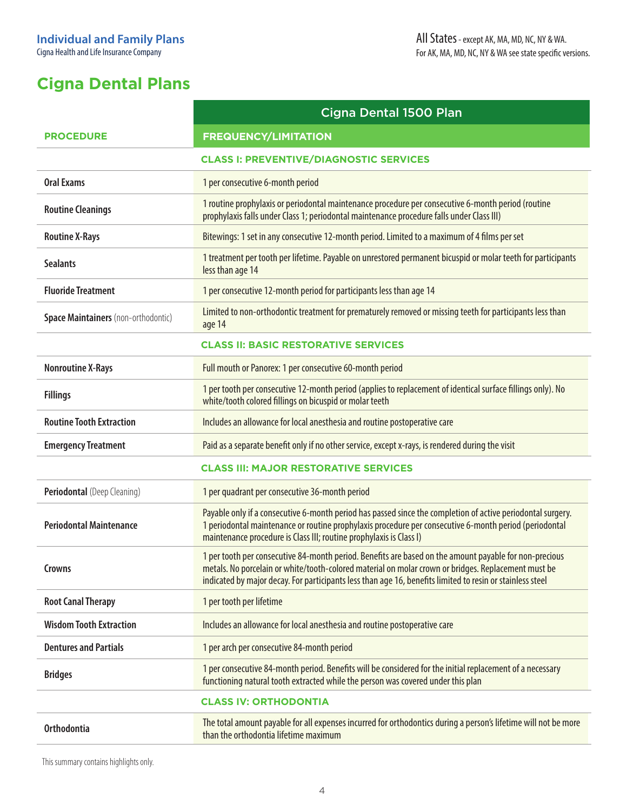|                                              | Cigna Dental 1500 Plan                                                                                                                                                                                                                                                                                                     |  |  |  |
|----------------------------------------------|----------------------------------------------------------------------------------------------------------------------------------------------------------------------------------------------------------------------------------------------------------------------------------------------------------------------------|--|--|--|
| <b>PROCEDURE</b>                             | <b>FREQUENCY/LIMITATION</b>                                                                                                                                                                                                                                                                                                |  |  |  |
|                                              | <b>CLASS I: PREVENTIVE/DIAGNOSTIC SERVICES</b>                                                                                                                                                                                                                                                                             |  |  |  |
| <b>Oral Exams</b>                            | 1 per consecutive 6-month period                                                                                                                                                                                                                                                                                           |  |  |  |
| <b>Routine Cleanings</b>                     | 1 routine prophylaxis or periodontal maintenance procedure per consecutive 6-month period (routine<br>prophylaxis falls under Class 1; periodontal maintenance procedure falls under Class III)                                                                                                                            |  |  |  |
| <b>Routine X-Rays</b>                        | Bitewings: 1 set in any consecutive 12-month period. Limited to a maximum of 4 films per set                                                                                                                                                                                                                               |  |  |  |
| <b>Sealants</b>                              | 1 treatment per tooth per lifetime. Payable on unrestored permanent bicuspid or molar teeth for participants<br>less than age 14                                                                                                                                                                                           |  |  |  |
| <b>Fluoride Treatment</b>                    | 1 per consecutive 12-month period for participants less than age 14                                                                                                                                                                                                                                                        |  |  |  |
| Space Maintainers (non-orthodontic)          | Limited to non-orthodontic treatment for prematurely removed or missing teeth for participants less than<br>age 14                                                                                                                                                                                                         |  |  |  |
|                                              | <b>CLASS II: BASIC RESTORATIVE SERVICES</b>                                                                                                                                                                                                                                                                                |  |  |  |
| <b>Nonroutine X-Rays</b>                     | Full mouth or Panorex: 1 per consecutive 60-month period                                                                                                                                                                                                                                                                   |  |  |  |
| <b>Fillings</b>                              | 1 per tooth per consecutive 12-month period (applies to replacement of identical surface fillings only). No<br>white/tooth colored fillings on bicuspid or molar teeth                                                                                                                                                     |  |  |  |
| <b>Routine Tooth Extraction</b>              | Includes an allowance for local anesthesia and routine postoperative care                                                                                                                                                                                                                                                  |  |  |  |
| <b>Emergency Treatment</b>                   | Paid as a separate benefit only if no other service, except x-rays, is rendered during the visit                                                                                                                                                                                                                           |  |  |  |
| <b>CLASS III: MAJOR RESTORATIVE SERVICES</b> |                                                                                                                                                                                                                                                                                                                            |  |  |  |
| Periodontal (Deep Cleaning)                  | 1 per quadrant per consecutive 36-month period                                                                                                                                                                                                                                                                             |  |  |  |
| <b>Periodontal Maintenance</b>               | Payable only if a consecutive 6-month period has passed since the completion of active periodontal surgery.<br>1 periodontal maintenance or routine prophylaxis procedure per consecutive 6-month period (periodontal<br>maintenance procedure is Class III; routine prophylaxis is Class I)                               |  |  |  |
| Crowns                                       | 1 per tooth per consecutive 84-month period. Benefits are based on the amount payable for non-precious<br>metals. No porcelain or white/tooth-colored material on molar crown or bridges. Replacement must be<br>indicated by major decay. For participants less than age 16, benefits limited to resin or stainless steel |  |  |  |
| <b>Root Canal Therapy</b>                    | 1 per tooth per lifetime                                                                                                                                                                                                                                                                                                   |  |  |  |
| <b>Wisdom Tooth Extraction</b>               | Includes an allowance for local anesthesia and routine postoperative care                                                                                                                                                                                                                                                  |  |  |  |
| <b>Dentures and Partials</b>                 | 1 per arch per consecutive 84-month period                                                                                                                                                                                                                                                                                 |  |  |  |
| <b>Bridges</b>                               | 1 per consecutive 84-month period. Benefits will be considered for the initial replacement of a necessary<br>functioning natural tooth extracted while the person was covered under this plan                                                                                                                              |  |  |  |
|                                              | <b>CLASS IV: ORTHODONTIA</b>                                                                                                                                                                                                                                                                                               |  |  |  |
| <b>Orthodontia</b>                           | The total amount payable for all expenses incurred for orthodontics during a person's lifetime will not be more<br>than the orthodontia lifetime maximum                                                                                                                                                                   |  |  |  |

This summary contains highlights only.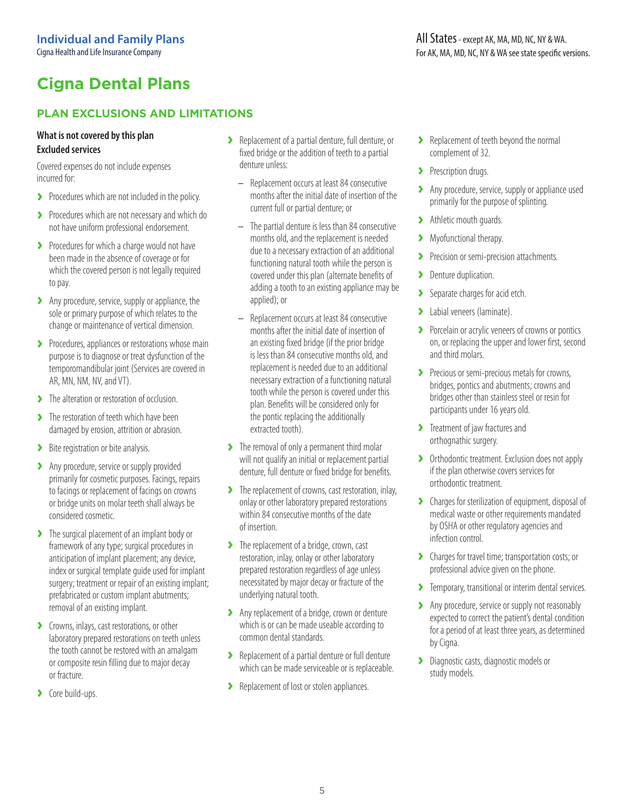### **PLAN EXCLUSIONS AND LIMITATIONS**

#### **What is not covered by this plan Excluded services**

Covered expenses do not include expenses incurred for:

- **›** Procedures which are not included in the policy.
- **›** Procedures which are not necessary and which do not have uniform professional endorsement.
- **›** Procedures for which a charge would not have been made in the absence of coverage or for which the covered person is not legally required to pay.
- **›** Any procedure, service, supply or appliance, the sole or primary purpose of which relates to the change or maintenance of vertical dimension.
- **›** Procedures, appliances or restorations whose main purpose is to diagnose or treat dysfunction of the temporomandibular joint (Services are covered in AR, MN, NM, NV, and VT).
- **›** The alteration or restoration of occlusion.
- **›** The restoration of teeth which have been damaged by erosion, attrition or abrasion.
- **›** Bite registration or bite analysis.
- **›** Any procedure, service or supply provided primarily for cosmetic purposes. Facings, repairs to facings or replacement of facings on crowns or bridge units on molar teeth shall always be considered cosmetic.
- **›** The surgical placement of an implant body or framework of any type; surgical procedures in anticipation of implant placement; any device, index or surgical template guide used for implant surgery; treatment or repair of an existing implant; prefabricated or custom implant abutments; removal of an existing implant.
- **›** Crowns, inlays, cast restorations, or other laboratory prepared restorations on teeth unless the tooth cannot be restored with an amalgam or composite resin filling due to major decay or fracture.
- **›** Core build-ups.
- **›** Replacement of a partial denture, full denture, or fixed bridge or the addition of teeth to a partial denture unless:
	- Replacement occurs at least 84 consecutive months after the initial date of insertion of the current full or partial denture; or
	- The partial denture is less than 84 consecutive months old, and the replacement is needed due to a necessary extraction of an additional functioning natural tooth while the person is covered under this plan (alternate benefits of adding a tooth to an existing appliance may be applied); or
	- Replacement occurs at least 84 consecutive months after the initial date of insertion of an existing fixed bridge (if the prior bridge is less than 84 consecutive months old, and replacement is needed due to an additional necessary extraction of a functioning natural tooth while the person is covered under this plan. Benefits will be considered only for the pontic replacing the additionally extracted tooth).
- **›** The removal of only a permanent third molar will not qualify an initial or replacement partial denture, full denture or fixed bridge for benefits.
- **›** The replacement of crowns, cast restoration, inlay, onlay or other laboratory prepared restorations within 84 consecutive months of the date of insertion.
- **›** The replacement of a bridge, crown, cast restoration, inlay, onlay or other laboratory prepared restoration regardless of age unless necessitated by major decay or fracture of the underlying natural tooth.
- **›** Any replacement of a bridge, crown or denture which is or can be made useable according to common dental standards.
- **›** Replacement of a partial denture or full denture which can be made serviceable or is replaceable.
- **›** Replacement of lost or stolen appliances.
- **›** Replacement of teeth beyond the normal complement of 32.
- **›** Prescription drugs.
- **›** Any procedure, service, supply or appliance used primarily for the purpose of splinting.
- **›** Athletic mouth guards.
- **›** Myofunctional therapy.
- **›** Precision or semi-precision attachments.
- **›** Denture duplication.
- **›** Separate charges for acid etch.
- **›** Labial veneers (laminate).
- **›** Porcelain or acrylic veneers of crowns or pontics on, or replacing the upper and lower first, second and third molars.
- **›** Precious or semi-precious metals for crowns, bridges, pontics and abutments; crowns and bridges other than stainless steel or resin for participants under 16 years old.
- **›** Treatment of jaw fractures and orthognathic surgery.
- **›** Orthodontic treatment. Exclusion does not apply if the plan otherwise covers services for orthodontic treatment.
- **›** Charges for sterilization of equipment, disposal of medical waste or other requirements mandated by OSHA or other regulatory agencies and infection control.
- **›** Charges for travel time; transportation costs; or professional advice given on the phone.
- **›** Temporary, transitional or interim dental services.
- **›** Any procedure, service or supply not reasonably expected to correct the patient's dental condition for a period of at least three years, as determined by Cigna.
- **›** Diagnostic casts, diagnostic models or study models.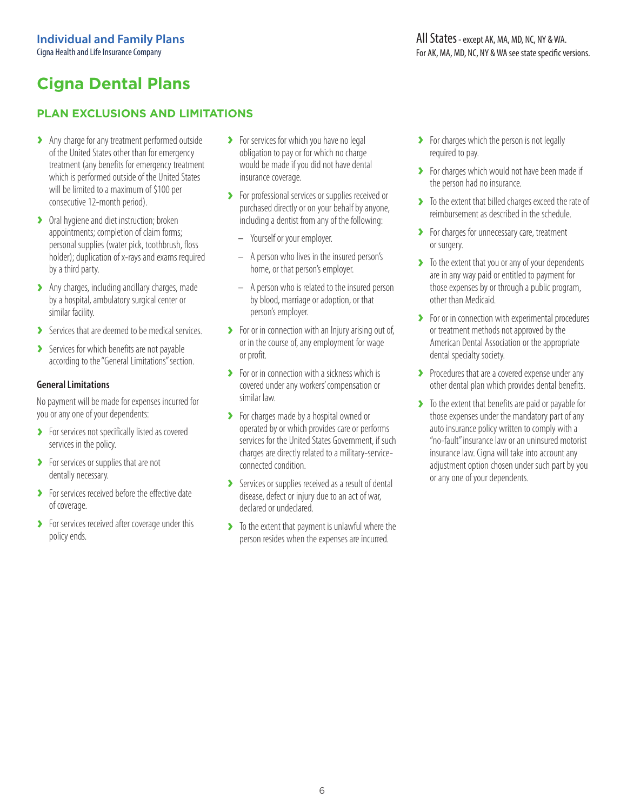### **PLAN EXCLUSIONS AND LIMITATIONS**

- **›** Any charge for any treatment performed outside of the United States other than for emergency treatment (any benefits for emergency treatment which is performed outside of the United States will be limited to a maximum of \$100 per consecutive 12-month period).
- **›** Oral hygiene and diet instruction; broken appointments; completion of claim forms; personal supplies (water pick, toothbrush, floss holder); duplication of x-rays and exams required by a third party.
- **›** Any charges, including ancillary charges, made by a hospital, ambulatory surgical center or similar facility.
- **›** Services that are deemed to be medical services.
- **›** Services for which benefits are not payable according to the "General Limitations" section.

#### **General Limitations**

No payment will be made for expenses incurred for you or any one of your dependents:

- **›** For services not specifically listed as covered services in the policy.
- **›** For services or supplies that are not dentally necessary.
- **›** For services received before the effective date of coverage.
- **›** For services received after coverage under this policy ends.
- **›** For services for which you have no legal obligation to pay or for which no charge would be made if you did not have dental insurance coverage.
- **›** For professional services or supplies received or purchased directly or on your behalf by anyone, including a dentist from any of the following:
	- Yourself or your employer.
	- A person who lives in the insured person's home, or that person's employer.
	- A person who is related to the insured person by blood, marriage or adoption, or that person's employer.
- **›** For or in connection with an Injury arising out of, or in the course of, any employment for wage or profit.
- **›** For or in connection with a sickness which is covered under any workers' compensation or similar law.
- **›** For charges made by a hospital owned or operated by or which provides care or performs services for the United States Government, if such charges are directly related to a military-serviceconnected condition.
- **›** Services or supplies received as a result of dental disease, defect or injury due to an act of war, declared or undeclared.
- **›** To the extent that payment is unlawful where the person resides when the expenses are incurred.
- **›** For charges which the person is not legally required to pay.
- **›** For charges which would not have been made if the person had no insurance.
- **›** To the extent that billed charges exceed the rate of reimbursement as described in the schedule.
- **›** For charges for unnecessary care, treatment or surgery.
- **›** To the extent that you or any of your dependents are in any way paid or entitled to payment for those expenses by or through a public program, other than Medicaid.
- **›** For or in connection with experimental procedures or treatment methods not approved by the American Dental Association or the appropriate dental specialty society.
- **›** Procedures that are a covered expense under any other dental plan which provides dental benefits.
- **›** To the extent that benefits are paid or payable for those expenses under the mandatory part of any auto insurance policy written to comply with a "no-fault" insurance law or an uninsured motorist insurance law. Cigna will take into account any adjustment option chosen under such part by you or any one of your dependents.